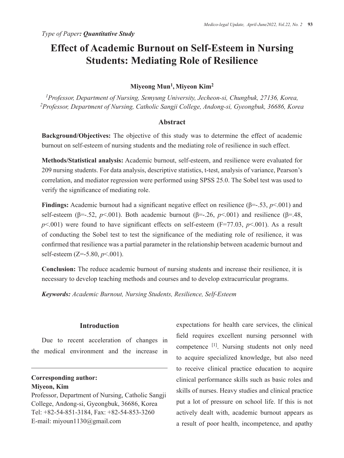## **Effect of Academic Burnout on Self-Esteem in Nursing Students: Mediating Role of Resilience**

### **Miyeong Mun1, Miyeon Kim2**

*1Professor, Department of Nursing, Semyung University, Jecheon-si, Chungbuk, 27136, Korea, 2 Professor, Department of Nursing, Catholic Sangji College, Andong-si, Gyeongbuk, 36686, Korea* 

#### **Abstract**

**Background/Objectives:** The objective of this study was to determine the effect of academic burnout on self-esteem of nursing students and the mediating role of resilience in such effect.

**Methods/Statistical analysis:** Academic burnout, self-esteem, and resilience were evaluated for 209 nursing students. For data analysis, descriptive statistics, t-test, analysis of variance, Pearson's correlation, and mediator regression were performed using SPSS 25.0. The Sobel test was used to verify the significance of mediating role.

**Findings:** Academic burnout had a significant negative effect on resilience (β=-.53, *p*<.001) and self-esteem ( $\beta$ =-.52, *p*<.001). Both academic burnout ( $\beta$ =-.26, *p*<.001) and resilience ( $\beta$ =.48,  $p$ <.001) were found to have significant effects on self-esteem (F=77.03,  $p$ <.001). As a result of conducting the Sobel test to test the significance of the mediating role of resilience, it was confirmed that resilience was a partial parameter in the relationship between academic burnout and self-esteem (Z=-5.80, *p*<.001).

**Conclusion:** The reduce academic burnout of nursing students and increase their resilience, it is necessary to develop teaching methods and courses and to develop extracurricular programs.

*Keywords: Academic Burnout, Nursing Students, Resilience, Self-Esteem* 

#### **Introduction**

Due to recent acceleration of changes in the medical environment and the increase in

**Corresponding author: Miyeon, Kim** 

Professor, Department of Nursing, Catholic Sangji College, Andong-si, Gyeongbuk, 36686, Korea Tel: +82-54-851-3184, Fax: +82-54-853-3260 E-mail: miyoun1130@gmail.com

expectations for health care services, the clinical field requires excellent nursing personnel with competence [1]. Nursing students not only need to acquire specialized knowledge, but also need to receive clinical practice education to acquire clinical performance skills such as basic roles and skills of nurses. Heavy studies and clinical practice put a lot of pressure on school life. If this is not actively dealt with, academic burnout appears as a result of poor health, incompetence, and apathy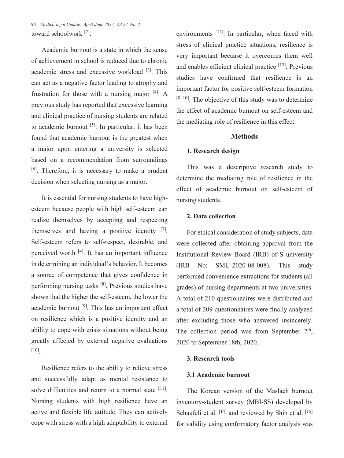**94** *Medico-legal Update, April-June 2022, Vol.22, No. 2* toward schoolwork [2].

Academic burnout is a state in which the sense of achievement in school is reduced due to chronic academic stress and excessive workload [3]. This can act as a negative factor leading to atrophy and frustration for those with a nursing major [4]. A previous study has reported that excessive learning and clinical practice of nursing students are related to academic burnout [5]. In particular, it has been found that academic burnout is the greatest when a major upon entering a university is selected based on a recommendation from surroundings [6]. Therefore, it is necessary to make a prudent decision when selecting nursing as a major.

It is essential for nursing students to have highesteem because people with high self-esteem can realize themselves by accepting and respecting themselves and having a positive identity  $[7]$ . Self-esteem refers to self-respect, desirable, and perceived worth [4]. It has an important influence in determining an individual's behavior. It becomes a source of competence that gives confidence in performing nursing tasks [8]. Previous studies have shown that the higher the self-esteem, the lower the academic burnout [9]. This has an important effect on resilience which is a positive identity and an ability to cope with crisis situations without being greatly affected by external negative evaluations [10].

Resilience refers to the ability to relieve stress and successfully adapt as mental resistance to solve difficulties and return to a normal state <sup>[11]</sup>. Nursing students with high resilience have an active and flexible life attitude. They can actively cope with stress with a high adaptability to external environments [12]. In particular, when faced with stress of clinical practice situations, resilience is very important because it overcomes them well and enables efficient clinical practice [13]. Previous studies have confirmed that resilience is an important factor for positive self-esteem formation  $[8, 10]$ . The objective of this study was to determine the effect of academic burnout on self-esteem and the mediating role of resilience in this effect.

#### **Methods**

#### **1. Research design**

This was a descriptive research study to determine the mediating role of resilience in the effect of academic burnout on self-esteem of nursing students.

#### **2. Data collection**

For ethical consideration of study subjects, data were collected after obtaining approval from the Institutional Review Board (IRB) of S university (IRB No: SMU-2020-08-008). This study performed convenience extractions for students (all grades) of nursing departments at two universities. A total of 210 questionnaires were distributed and a total of 209 questionnaires were finally analyzed after excluding those who answered insincerely. The collection period was from September  $7<sup>th</sup>$ , 2020 to September 18th, 2020.

#### **3. Research tools**

#### **3.1 Academic burnout**

The Korean version of the Maslach burnout inventory-student survey (MBI-SS) developed by Schaufeli et al. [14] and reviewed by Shin et al. [15] for validity using confirmatory factor analysis was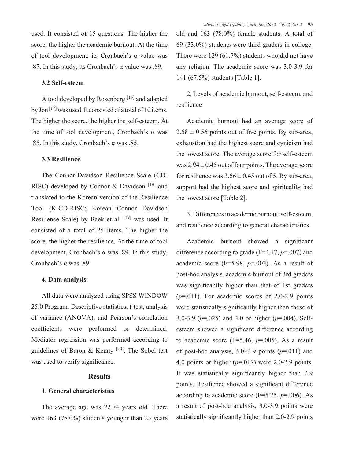used. It consisted of 15 questions. The higher the score, the higher the academic burnout. At the time of tool development, its Cronbach's α value was .87. In this study, its Cronbach's α value was .89.

#### **3.2 Self-esteem**

A tool developed by Rosenberg [16] and adapted by Jon [17] was used. It consisted of a total of 10 items. The higher the score, the higher the self-esteem. At the time of tool development, Cronbach's α was .85. In this study, Cronbach's α was .85.

#### **3.3 Resilience**

The Connor-Davidson Resilience Scale (CD-RISC) developed by Connor & Davidson<sup>[18]</sup> and translated to the Korean version of the Resilience Tool (K-CD-RISC; Korean Connor Davidson Resilience Scale) by Baek et al. [19] was used. It consisted of a total of 25 items. The higher the score, the higher the resilience. At the time of tool development, Cronbach's α was .89. In this study, Cronbach's α was .89.

#### **4. Data analysis**

All data were analyzed using SPSS WINDOW 25.0 Program. Descriptive statistics, t-test, analysis of variance (ANOVA), and Pearson's correlation coefficients were performed or determined. Mediator regression was performed according to guidelines of Baron & Kenny  $[20]$ . The Sobel test was used to verify significance.

#### **Results**

#### **1. General characteristics**

The average age was 22.74 years old. There were 163 (78.0%) students younger than 23 years old and 163 (78.0%) female students. A total of 69 (33.0%) students were third graders in college. There were 129 (61.7%) students who did not have any religion. The academic score was 3.0-3.9 for 141 (67.5%) students [Table 1].

2. Levels of academic burnout, self-esteem, and resilience

Academic burnout had an average score of  $2.58 \pm 0.56$  points out of five points. By sub-area, exhaustion had the highest score and cynicism had the lowest score. The average score for self-esteem was  $2.94 \pm 0.45$  out of four points. The average score for resilience was  $3.66 \pm 0.45$  out of 5. By sub-area, support had the highest score and spirituality had the lowest score [Table 2].

3. Differences in academic burnout, self-esteem, and resilience according to general characteristics

Academic burnout showed a significant difference according to grade (F=4.17, *p*=.007) and academic score (F=5.98, *p*=.003). As a result of post-hoc analysis, academic burnout of 3rd graders was significantly higher than that of 1st graders  $(p=011)$ . For academic scores of 2.0-2.9 points were statistically significantly higher than those of 3.0-3.9 (*p*=.025) and 4.0 or higher (*p*=.004). Selfesteem showed a significant difference according to academic score ( $F=5.46$ ,  $p=.005$ ). As a result of post-hoc analysis,  $3.0 \sim 3.9$  points ( $p=011$ ) and 4.0 points or higher (*p*=.017) were 2.0-2.9 points. It was statistically significantly higher than 2.9 points. Resilience showed a significant difference according to academic score  $(F=5.25, p=.006)$ . As a result of post-hoc analysis, 3.0-3.9 points were statistically significantly higher than 2.0-2.9 points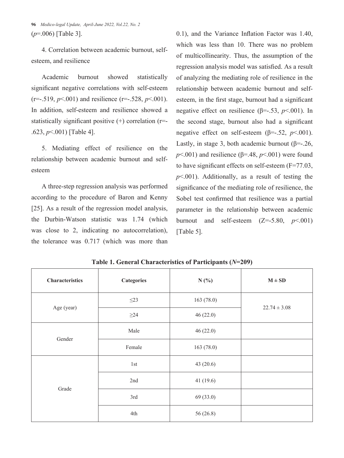**96** *Medico-legal Update, April-June 2022, Vol.22, No. 2* (*p*=.006) [Table 3].

4. Correlation between academic burnout, selfesteem, and resilience

Academic burnout showed statistically significant negative correlations with self-esteem  $(r=-.519, p<.001)$  and resilience  $(r=-.528, p<.001)$ . In addition, self-esteem and resilience showed a statistically significant positive  $(+)$  correlation ( $r=$ .623, *p*<.001) [Table 4].

5. Mediating effect of resilience on the relationship between academic burnout and selfesteem

A three-step regression analysis was performed according to the procedure of Baron and Kenny [25]. As a result of the regression model analysis, the Durbin-Watson statistic was 1.74 (which was close to 2, indicating no autocorrelation), the tolerance was 0.717 (which was more than

0.1), and the Variance Inflation Factor was 1.40, which was less than 10. There was no problem of multicollinearity. Thus, the assumption of the regression analysis model was satisfied. As a result of analyzing the mediating role of resilience in the relationship between academic burnout and selfesteem, in the first stage, burnout had a significant negative effect on resilience (β=-.53, *p*<.001). In the second stage, burnout also had a significant negative effect on self-esteem ( $\beta$ =-.52, *p*<.001). Lastly, in stage 3, both academic burnout ( $\beta = -26$ ,  $p$ <.001) and resilience ( $\beta$ =.48,  $p$ <.001) were found to have significant effects on self-esteem (F=77.03,  $p$ <.001). Additionally, as a result of testing the significance of the mediating role of resilience, the Sobel test confirmed that resilience was a partial parameter in the relationship between academic burnout and self-esteem  $(Z=-5.80, p<0.01)$ [Table 5].

| <b>Characteristics</b> | <b>Categories</b> | N(%)      | $M \pm SD$       |  |
|------------------------|-------------------|-----------|------------------|--|
|                        | $\leq$ 23         | 163(78.0) | $22.74 \pm 3.08$ |  |
| Age (year)             | $\geq$ 24         | 46(22.0)  |                  |  |
| Gender                 | Male              | 46(22.0)  |                  |  |
|                        | Female            | 163(78.0) |                  |  |
|                        | 1st               | 43(20.6)  |                  |  |
|                        | 2nd               | 41(19.6)  |                  |  |
| Grade                  | 3rd               | 69 (33.0) |                  |  |
|                        | 4th               | 56 (26.8) |                  |  |

**Table 1. General Characteristics of Participants (***N***=209)**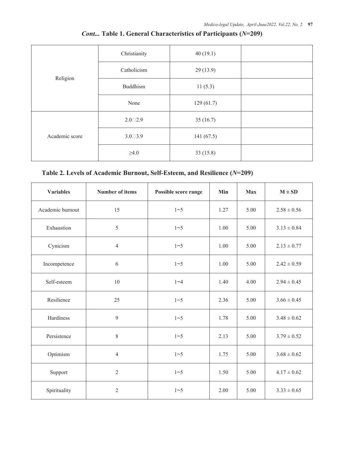|                | Christianity      | 40(19.1)  |  |
|----------------|-------------------|-----------|--|
| Religion       | Catholicism       | 29(13.9)  |  |
|                | Buddhism          | 11(5.3)   |  |
|                | None              | 129(61.7) |  |
| Academic score | $2.0 \square 2.9$ | 35(16.7)  |  |
|                | $3.0 \square 3.9$ | 141(67.5) |  |
|                | $\geq 4.0$        | 33(15.8)  |  |

## *Cont...* **Table 1. General Characteristics of Participants (***N***=209)**

## **Table 2. Levels of Academic Burnout, Self-Esteem, and Resilience (***N***=209)**

| <b>Variables</b> | <b>Number of items</b> | Possible score range | Min  | <b>Max</b> | $M \pm SD$      |
|------------------|------------------------|----------------------|------|------------|-----------------|
| Academic burnout | 15                     | $1 - 5$              | 1.27 | 5.00       | $2.58 \pm 0.56$ |
| Exhaustion       | 5                      | $1 - 5$              | 1.00 | 5.00       | $3.13 \pm 0.84$ |
| Cynicism         | $\overline{4}$         | $1 - 5$              | 1.00 | 5.00       | $2.13 \pm 0.77$ |
| Incompetence     | 6                      | $1 - 5$              | 1.00 | 5.00       | $2.42 \pm 0.59$ |
| Self-esteem      | 10                     | $1 - 4$              | 1.40 | 4.00       | $2.94 \pm 0.45$ |
| Resilience       | 25                     | $1 - 5$              | 2.36 | 5.00       | $3.66 \pm 0.45$ |
| Hardiness        | 9                      | $1 - 5$              | 1.78 | 5.00       | $3.48 \pm 0.62$ |
| Persistence      | 8                      | $1 - 5$              | 2.13 | 5.00       | $3.79 \pm 0.52$ |
| Optimism         | $\overline{4}$         |                      | 1.75 | 5.00       | $3.68 \pm 0.62$ |
| Support          | $\overline{2}$         |                      | 1.50 | 5.00       | $4.17 \pm 0.62$ |
| Spirituality     | $\overline{2}$         |                      | 2.00 | 5.00       | $3.33 \pm 0.65$ |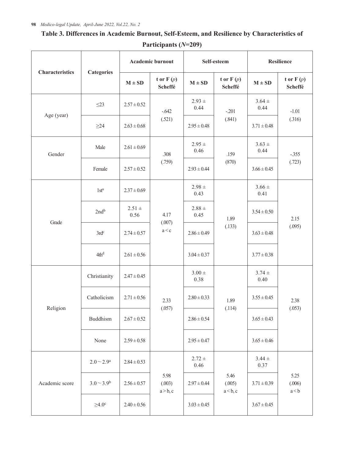|                        |                          | Academic burnout   |                            | Self-esteem           |                            | <b>Resilience</b>  |                         |
|------------------------|--------------------------|--------------------|----------------------------|-----------------------|----------------------------|--------------------|-------------------------|
| <b>Characteristics</b> | <b>Categories</b>        | $M \pm SD$         | t or $F(p)$<br>Scheffé     | $M \pm SD$            | t or $F(p)$<br>Scheffé     | $M \pm SD$         | t or $F(p)$<br>Scheffé  |
|                        | $\leq$ 23                | $2.57 \pm 0.52$    | $-642$                     | $2.93 +$<br>0.44      | $-201$<br>(.841)           | $3.64 \pm$<br>0.44 | $-1.01$<br>(.316)       |
| Age (year)             | $\geq$ 24                | $2.63 \pm 0.68$    | (.521)                     | $2.95 \pm 0.48$       |                            | $3.71 \pm 0.48$    |                         |
| Gender                 | Male                     | $2.61 \pm 0.69$    | .308                       | $2.95 +$<br>0.46      | .159<br>(870)              | $3.63 \pm$<br>0.44 | $-.355$<br>(.723)       |
|                        | Female                   | $2.57 \pm 0.52$    | (.759)                     | $2.93 \pm 0.44$       |                            | $3.66 \pm 0.45$    |                         |
|                        | 1st <sup>a</sup>         | $2.37 \pm 0.69$    |                            | $2.98 \pm$<br>0.43    | 1.89<br>(.133)             | $3.66 \pm$<br>0.41 | 2.15<br>(.095)          |
| Grade                  | 2nd <sup>b</sup>         | $2.51 \pm$<br>0.56 | 4.17                       | $2.88\,\pm\,$<br>0.45 |                            | $3.54 \pm 0.50$    |                         |
|                        | $3rd^c$                  | $2.74 \pm 0.57$    | (.007)<br>a < c            | $2.86 \pm 0.49$       |                            | $3.63 \pm 0.48$    |                         |
|                        | 4th <sup>d</sup>         | $2.61 \pm 0.56$    |                            | $3.04 \pm 0.37$       |                            | $3.77 \pm 0.38$    |                         |
|                        | Christianity             | $2.47 \pm 0.45$    |                            | $3.00 +$<br>0.38      | 1.89<br>(.114)             | $3.74 \pm$<br>0.40 | 2.38<br>(.053)          |
|                        | Catholicism              | $2.71 \pm 0.56$    | 2.33                       | $2.80 \pm 0.33$       |                            | $3.55 \pm 0.45$    |                         |
| Religion               | Buddhism                 | $2.67 \pm 0.52$    | (.057)                     | $2.86 \pm 0.54$       |                            | $3.65 \pm 0.43$    |                         |
|                        | None                     | $2.59 \pm 0.58$    |                            | $2.95 \pm 0.47$       |                            | $3.65 \pm 0.46$    |                         |
| Academic score         | $2.0 - 2.9$ <sup>a</sup> | $2.84 \pm 0.53$    | 5.98<br>(.003)<br>a > b, c | $2.72 +$<br>0.46      | 5.46<br>(.005)<br>a < b, c | $3.44 \pm$<br>0.37 | 5.25<br>(.006)<br>a < b |
|                        | $3.0 - 3.9^b$            | $2.56 \pm 0.57$    |                            | $2.97 \pm 0.44$       |                            | $3.71 \pm 0.39$    |                         |
|                        | $\geq 4.0^{\circ}$       | $2.40 \pm 0.56$    |                            | $3.03 \pm 0.45$       |                            | $3.67 \pm 0.45$    |                         |

# **Table 3. Differences in Academic Burnout, Self-Esteem, and Resilience by Characteristics of**

**Participants (***N***=209)**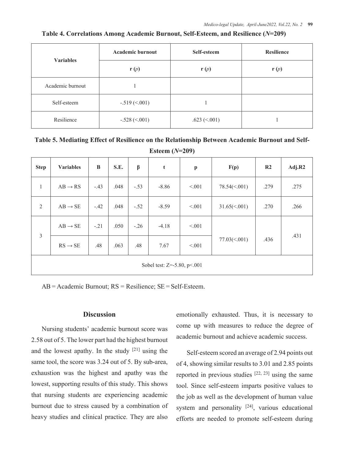| <b>Variables</b> | <b>Academic burnout</b> | Self-esteem     | <b>Resilience</b> |  |
|------------------|-------------------------|-----------------|-------------------|--|
|                  | $\mathbf{r}(p)$         | $\mathbf{r}(p)$ | $\mathbf{r}(p)$   |  |
| Academic burnout |                         |                 |                   |  |
| Self-esteem      | $-.519 \, (<001)$       |                 |                   |  |
| Resilience       | $-.528 (< 001)$         | .623 $(<.001)$  |                   |  |

#### **Table 4. Correlations Among Academic Burnout, Self-Esteem, and Resilience (***N***=209)**

**Table 5. Mediating Effect of Resilience on the Relationship Between Academic Burnout and Self-Esteem (***N***=209)**

| <b>Step</b>                 | <b>Variables</b>    | B      | S.E. | β      | t       | $\boldsymbol{\mathrm{p}}$ | F(p)                 | R <sub>2</sub> | Adj.R2 |
|-----------------------------|---------------------|--------|------|--------|---------|---------------------------|----------------------|----------------|--------|
| $\mathbf{1}$                | $AB \rightarrow RS$ | $-.43$ | .048 | $-.53$ | $-8.86$ | < 0.01                    | $78.54 \times (001)$ | .279           | .275   |
| 2                           | $AB \rightarrow SE$ | $-.42$ | .048 | $-.52$ | $-8.59$ | < 0.01                    | $31.65 \times 001$   | .270           | .266   |
|                             | $AB \rightarrow SE$ | $-.21$ | .050 | $-.26$ | $-4.18$ | < 0.01                    |                      |                |        |
| $\overline{3}$              | $RS \rightarrow SE$ | .48    | .063 | .48    | 7.67    | < 0.01                    | $77.03 \times 001$   | .436           | .431   |
| Sobel test: Z=-5.80, p<.001 |                     |        |      |        |         |                           |                      |                |        |

AB = Academic Burnout; RS = Resilience; SE = Self-Esteem.

#### **Discussion**

Nursing students' academic burnout score was 2.58 out of 5. The lower part had the highest burnout and the lowest apathy. In the study  $[21]$  using the same tool, the score was 3.24 out of 5. By sub-area, exhaustion was the highest and apathy was the lowest, supporting results of this study. This shows that nursing students are experiencing academic burnout due to stress caused by a combination of heavy studies and clinical practice. They are also emotionally exhausted. Thus, it is necessary to come up with measures to reduce the degree of academic burnout and achieve academic success.

Self-esteem scored an average of 2.94 points out of 4, showing similar results to 3.01 and 2.85 points reported in previous studies  $[22, 23]$  using the same tool. Since self-esteem imparts positive values to the job as well as the development of human value system and personality <sup>[24]</sup>, various educational efforts are needed to promote self-esteem during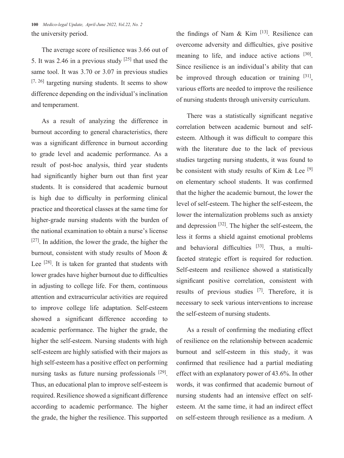**100** *Medico-legal Update, April-June 2022, Vol.22, No. 2* the university period.

The average score of resilience was 3.66 out of 5. It was 2.46 in a previous study  $[25]$  that used the same tool. It was 3.70 or 3.07 in previous studies [7, 26] targeting nursing students. It seems to show difference depending on the individual's inclination and temperament.

As a result of analyzing the difference in burnout according to general characteristics, there was a significant difference in burnout according to grade level and academic performance. As a result of post-hoc analysis, third year students had significantly higher burn out than first year students. It is considered that academic burnout is high due to difficulty in performing clinical practice and theoretical classes at the same time for higher-grade nursing students with the burden of the national examination to obtain a nurse's license [27]. In addition, the lower the grade, the higher the burnout, consistent with study results of Moon & Lee [28]. It is taken for granted that students with lower grades have higher burnout due to difficulties in adjusting to college life. For them, continuous attention and extracurricular activities are required to improve college life adaptation. Self-esteem showed a significant difference according to academic performance. The higher the grade, the higher the self-esteem. Nursing students with high self-esteem are highly satisfied with their majors as high self-esteem has a positive effect on performing nursing tasks as future nursing professionals [29]. Thus, an educational plan to improve self-esteem is required. Resilience showed a significant difference according to academic performance. The higher the grade, the higher the resilience. This supported

the findings of Nam  $\&$  Kim  $^{[13]}$ . Resilience can overcome adversity and difficulties, give positive meaning to life, and induce active actions [30]. Since resilience is an individual's ability that can be improved through education or training [31], various efforts are needed to improve the resilience of nursing students through university curriculum.

There was a statistically significant negative correlation between academic burnout and selfesteem. Although it was difficult to compare this with the literature due to the lack of previous studies targeting nursing students, it was found to be consistent with study results of Kim  $\&$  Lee [9] on elementary school students. It was confirmed that the higher the academic burnout, the lower the level of self-esteem. The higher the self-esteem, the lower the internalization problems such as anxiety and depression [32]. The higher the self-esteem, the less it forms a shield against emotional problems and behavioral difficulties  $[33]$ . Thus, a multifaceted strategic effort is required for reduction. Self-esteem and resilience showed a statistically significant positive correlation, consistent with results of previous studies [7]. Therefore, it is necessary to seek various interventions to increase the self-esteem of nursing students.

As a result of confirming the mediating effect of resilience on the relationship between academic burnout and self-esteem in this study, it was confirmed that resilience had a partial mediating effect with an explanatory power of 43.6%. In other words, it was confirmed that academic burnout of nursing students had an intensive effect on selfesteem. At the same time, it had an indirect effect on self-esteem through resilience as a medium. A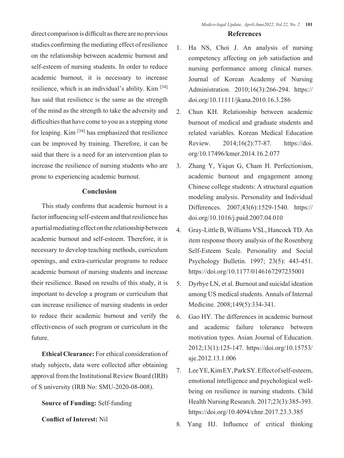direct comparison is difficult as there are no previous studies confirming the mediating effect of resilience on the relationship between academic burnout and self-esteem of nursing students. In order to reduce academic burnout, it is necessary to increase resilience, which is an individual's ability. Kim [34] has said that resilience is the same as the strength of the mind as the strength to take the adversity and difficulties that have come to you as a stepping stone for leaping. Kim [34] has emphasized that resilience can be improved by training. Therefore, it can be said that there is a need for an intervention plan to increase the resilience of nursing students who are prone to experiencing academic burnout.

#### **Conclusion**

This study confirms that academic burnout is a factor influencing self-esteem and that resilience has a partial mediating effect on the relationship between academic burnout and self-esteem. Therefore, it is necessary to develop teaching methods, curriculum openings, and extra-curricular programs to reduce academic burnout of nursing students and increase their resilience. Based on results of this study, it is important to develop a program or curriculum that can increase resilience of nursing students in order to reduce their academic burnout and verify the effectiveness of such program or curriculum in the future.

**Ethical Clearance:** For ethical consideration of study subjects, data were collected after obtaining approval from the Institutional Review Board (IRB) of S university (IRB No: SMU-2020-08-008).

#### **Source of Funding:** Self-funding

**Conflict of Interest:** Nil

#### **References**

- 1. Ha NS, Choi J. An analysis of nursing competency affecting on job satisfaction and nursing performance among clinical nurses. Journal of Korean Academy of Nursing Administration. 2010;16(3):266-294. https:// doi.org/10.11111/jkana.2010.16.3.286
- 2. Chun KH. Relationship between academic burnout of medical and graduate students and related variables. Korean Medical Education Review. 2014;16(2):77-87. https://doi. org/10.17496/kmer.2014.16.2.077
- 3. Zhang Y, Yiqun G, Cham H. Perfectionism, academic burnout and engagement among Chinese college students: A structural equation modeling analysis. Personality and Individual Differences. 2007;43(6):1529-1540. https:// doi.org/10.1016/j.paid.2007.04.010
- 4. Gray-Little B, Williams VSL, Hancock TD. An item response theory analysis of the Rosenberg Self-Esteem Scale. Personality and Social Psychology Bulletin. 1997; 23(5): 443-451. https://doi.org/10.1177/0146167297235001
- 5. Dyrbye LN, et al. Burnout and suicidal ideation among US medical students. Annals of Internal Medicine. 2008;149(5):334-341.
- 6. Gao HY. The differences in academic burnout and academic failure tolerance between motivation types. Asian Journal of Education. 2012;13(1):125-147. https://doi.org/10.15753/ aje.2012.13.1.006
- 7. Lee YE, Kim EY, Park SY. Effect of self-esteem, emotional intelligence and psychological wellbeing on resilience in nursing students. Child Health Nursing Research. 2017;23(3):385-393. https://doi.org/10.4094/chnr.2017.23.3.385
- 8. Yang HJ. Influence of critical thinking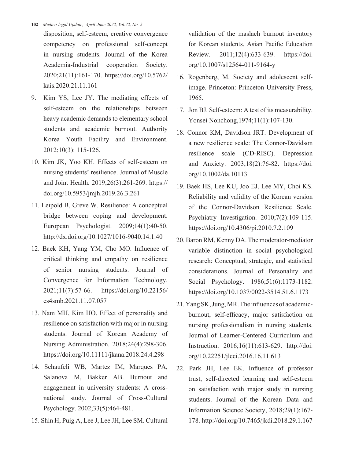- **102** *Medico-legal Update, April-June 2022, Vol.22, No. 2*
	- disposition, self-esteem, creative convergence competency on professional self-concept in nursing students. Journal of the Korea Academia-Industrial cooperation Society. 2020;21(11):161-170. https://doi.org/10.5762/ kais.2020.21.11.161
- 9. Kim YS, Lee JY. The mediating effects of self-esteem on the relationships between heavy academic demands to elementary school students and academic burnout. Authority Korea Youth Facility and Environment. 2012;10(3): 115-126.
- 10. Kim JK, Yoo KH. Effects of self-esteem on nursing students' resilience. Journal of Muscle and Joint Health. 2019;26(3):261-269. https:// doi.org/10.5953/jmjh.2019.26.3.261
- 11. Leipold B, Greve W. Resilience: A conceptual bridge between coping and development. European Psychologist. 2009;14(1):40-50. http://dx.doi.org/10.1027/1016-9040.14.1.40
- 12. Baek KH, Yang YM, Cho MO. Influence of critical thinking and empathy on resilience of senior nursing students. Journal of Convergence for Information Technology. 2021;11(7):57-66. https://doi.org/10.22156/ cs4smb.2021.11.07.057
- 13. Nam MH, Kim HO. Effect of personality and resilience on satisfaction with major in nursing students. Journal of Korean Academy of Nursing Administration. 2018;24(4):298-306. https://doi.org/10.11111/jkana.2018.24.4.298
- 14. Schaufeli WB, Martez IM, Marques PA, Salanova M, Bakker AB. Burnout and engagement in university students: A crossnational study. Journal of Cross-Cultural Psychology. 2002;33(5):464-481.
- 15. Shin H, Puig A, Lee J, Lee JH, Lee SM. Cultural

validation of the maslach burnout inventory for Korean students. Asian Pacific Education Review. 2011;12(4):633-639. https://doi. org/10.1007/s12564-011-9164-y

- 16. Rogenberg, M. Society and adolescent selfimage. Princeton: Princeton University Press, 1965.
- 17. Jon BJ. Self-esteem: A test of its measurability. Yonsei Nonchong,1974;11(1):107-130.
- 18. Connor KM, Davidson JRT. Development of a new resilience scale: The Connor-Davidson resilience scale (CD-RISC). Depression and Anxiety. 2003;18(2):76-82. https://doi. org/10.1002/da.10113
- 19. Baek HS, Lee KU, Joo EJ, Lee MY, Choi KS. Reliability and validity of the Korean version of the Connor-Davidson Resilience Scale. Psychiatry Investigation. 2010;7(2):109-115. https://doi.org/10.4306/pi.2010.7.2.109
- 20. Baron RM, Kenny DA. The moderator-mediator variable distinction in social psychological research: Conceptual, strategic, and statistical considerations. Journal of Personality and Social Psychology. 1986;51(6):1173-1182. https://doi.org/10.1037/0022-3514.51.6.1173
- 21. Yang SK, Jung, MR. The influences of academicburnout, self-efficacy, major satisfaction on nursing professionalism in nursing students. Journal of Learner-Centered Curriculum and Instruction. 2016;16(11):613-629. http://doi. org/10.22251/jlcci.2016.16.11.613
- 22. Park JH, Lee EK. Influence of professor trust, self-directed learning and self-esteem on satisfaction with major study in nursing students. Journal of the Korean Data and Information Science Society, 2018;29(1):167- 178. http://doi.org/10.7465/jkdi.2018.29.1.167